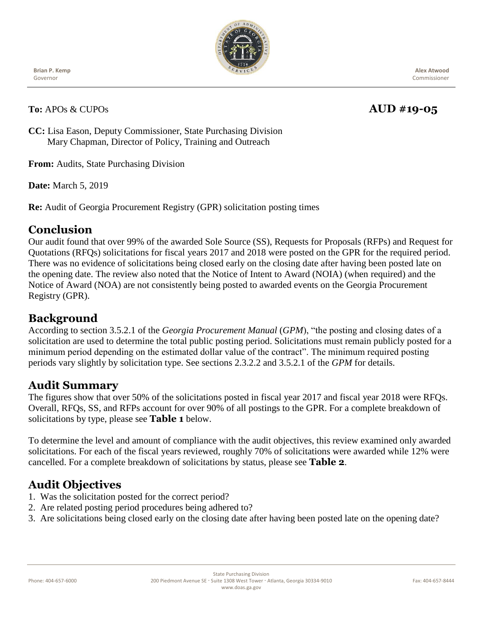

**Brian P. Kemp** Governor

**To:** APOs & CUPOs **AUD** #19-05

 **Alex Atwood** Commissioner

**CC:** Lisa Eason, Deputy Commissioner, State Purchasing Division Mary Chapman, Director of Policy, Training and Outreach

**From:** Audits, State Purchasing Division

**Date:** March 5, 2019

**Re:** Audit of Georgia Procurement Registry (GPR) solicitation posting times

### **Conclusion**

Our audit found that over 99% of the awarded Sole Source (SS), Requests for Proposals (RFPs) and Request for Quotations (RFQs) solicitations for fiscal years 2017 and 2018 were posted on the GPR for the required period. There was no evidence of solicitations being closed early on the closing date after having been posted late on the opening date. The review also noted that the Notice of Intent to Award (NOIA) (when required) and the Notice of Award (NOA) are not consistently being posted to awarded events on the Georgia Procurement Registry (GPR).

# **Background**

According to section 3.5.2.1 of the *Georgia Procurement Manual* (*GPM*), "the posting and closing dates of a solicitation are used to determine the total public posting period. Solicitations must remain publicly posted for a minimum period depending on the estimated dollar value of the contract". The minimum required posting periods vary slightly by solicitation type. See sections 2.3.2.2 and 3.5.2.1 of the *GPM* for details.

### **Audit Summary**

The figures show that over 50% of the solicitations posted in fiscal year 2017 and fiscal year 2018 were RFQs. Overall, RFQs, SS, and RFPs account for over 90% of all postings to the GPR. For a complete breakdown of solicitations by type, please see **Table 1** below.

To determine the level and amount of compliance with the audit objectives, this review examined only awarded solicitations. For each of the fiscal years reviewed, roughly 70% of solicitations were awarded while 12% were cancelled. For a complete breakdown of solicitations by status, please see **Table 2**.

## **Audit Objectives**

- 1. Was the solicitation posted for the correct period?
- 2. Are related posting period procedures being adhered to?
- 3. Are solicitations being closed early on the closing date after having been posted late on the opening date?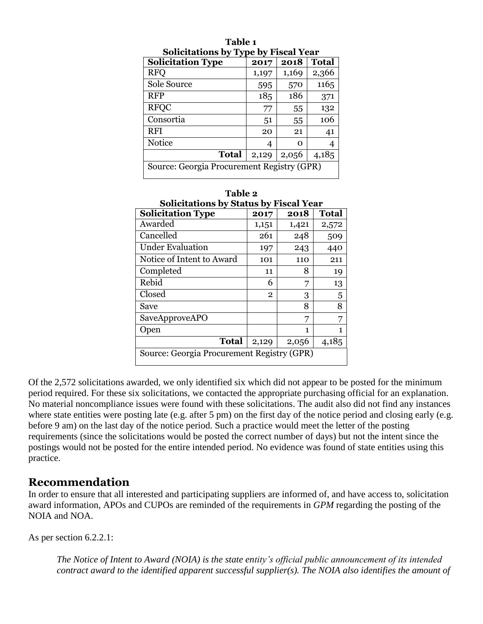| Solicitations by Type by Fiscal Fear       |       |       |       |  |
|--------------------------------------------|-------|-------|-------|--|
| <b>Solicitation Type</b>                   | 2017  | 2018  | Total |  |
| <b>RFO</b>                                 | 1,197 | 1,169 | 2,366 |  |
| Sole Source                                | 595   | 570   | 1165  |  |
| <b>RFP</b>                                 | 185   | 186   | 371   |  |
| <b>RFOC</b>                                | 77    | 55    | 132   |  |
| Consortia                                  | 51    | 55    | 106   |  |
| <b>RFI</b>                                 | 20    | 21    | 41    |  |
| <b>Notice</b>                              | 4     | 0     | 4     |  |
| <b>Total</b>                               | 2,129 | 2,056 | 4,185 |  |
| Source: Georgia Procurement Registry (GPR) |       |       |       |  |

| Table 1                              |  |  |
|--------------------------------------|--|--|
| Solicitations by Type by Fiscal Year |  |  |

| <b>Solicitations by Status by Fiscal Year</b> |                |       |              |  |  |
|-----------------------------------------------|----------------|-------|--------------|--|--|
| <b>Solicitation Type</b>                      | 2017           | 2018  | <b>Total</b> |  |  |
| Awarded                                       | 1,151          | 1,421 | 2,572        |  |  |
| Cancelled                                     | 261            | 248   | 509          |  |  |
| <b>Under Evaluation</b>                       | 197            | 243   | 440          |  |  |
| Notice of Intent to Award                     | 101            | 110   | 211          |  |  |
| Completed                                     | 11             | 8     | 19           |  |  |
| Rebid                                         | 6              | 7     | 13           |  |  |
| Closed                                        | $\overline{2}$ | 3     | 5            |  |  |
| Save                                          |                | 8     | 8            |  |  |
| SaveApproveAPO                                |                | 7     | 7            |  |  |
| Open                                          |                | 1     | 1            |  |  |
| Total                                         | 2,129          | 2,056 | 4,185        |  |  |
| Source: Georgia Procurement Registry (GPR)    |                |       |              |  |  |

**Table 2**

Of the 2,572 solicitations awarded, we only identified six which did not appear to be posted for the minimum period required. For these six solicitations, we contacted the appropriate purchasing official for an explanation. No material noncompliance issues were found with these solicitations. The audit also did not find any instances where state entities were posting late (e.g. after 5 pm) on the first day of the notice period and closing early (e.g. before 9 am) on the last day of the notice period. Such a practice would meet the letter of the posting requirements (since the solicitations would be posted the correct number of days) but not the intent since the postings would not be posted for the entire intended period. No evidence was found of state entities using this practice.

### **Recommendation**

In order to ensure that all interested and participating suppliers are informed of, and have access to, solicitation award information, APOs and CUPOs are reminded of the requirements in *GPM* regarding the posting of the NOIA and NOA.

As per section 6.2.2.1:

*The Notice of Intent to Award (NOIA) is the state entity's official public announcement of its intended contract award to the identified apparent successful supplier(s). The NOIA also identifies the amount of*